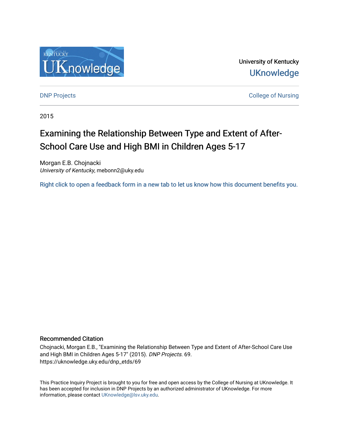

University of Kentucky **UKnowledge** 

**DNP Projects** College of Nursing

2015

# Examining the Relationship Between Type and Extent of After-School Care Use and High BMI in Children Ages 5-17

Morgan E.B. Chojnacki University of Kentucky, mebonn2@uky.edu

[Right click to open a feedback form in a new tab to let us know how this document benefits you.](https://uky.az1.qualtrics.com/jfe/form/SV_9mq8fx2GnONRfz7)

# Recommended Citation

Chojnacki, Morgan E.B., "Examining the Relationship Between Type and Extent of After-School Care Use and High BMI in Children Ages 5-17" (2015). DNP Projects. 69. https://uknowledge.uky.edu/dnp\_etds/69

This Practice Inquiry Project is brought to you for free and open access by the College of Nursing at UKnowledge. It has been accepted for inclusion in DNP Projects by an authorized administrator of UKnowledge. For more information, please contact [UKnowledge@lsv.uky.edu](mailto:UKnowledge@lsv.uky.edu).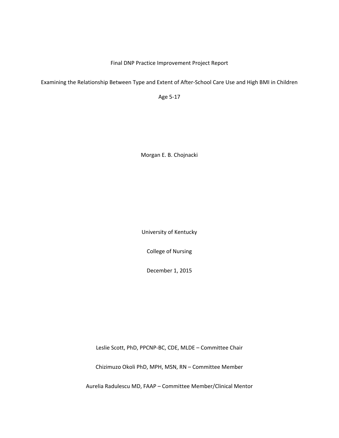Final DNP Practice Improvement Project Report

Examining the Relationship Between Type and Extent of After‐School Care Use and High BMI in Children

Age 5‐17

Morgan E. B. Chojnacki

University of Kentucky

College of Nursing

December 1, 2015

Leslie Scott, PhD, PPCNP‐BC, CDE, MLDE – Committee Chair

Chizimuzo Okoli PhD, MPH, MSN, RN – Committee Member

Aurelia Radulescu MD, FAAP – Committee Member/Clinical Mentor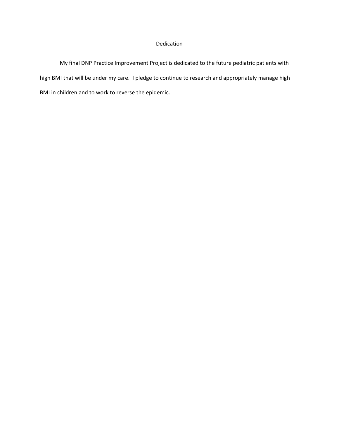# Dedication

My final DNP Practice Improvement Project is dedicated to the future pediatric patients with high BMI that will be under my care. I pledge to continue to research and appropriately manage high BMI in children and to work to reverse the epidemic.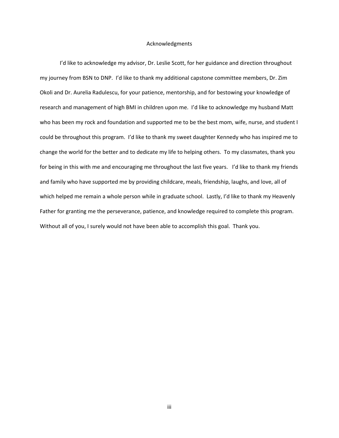# Acknowledgments

I'd like to acknowledge my advisor, Dr. Leslie Scott, for her guidance and direction throughout my journey from BSN to DNP. I'd like to thank my additional capstone committee members, Dr. Zim Okoli and Dr. Aurelia Radulescu, for your patience, mentorship, and for bestowing your knowledge of research and management of high BMI in children upon me. I'd like to acknowledge my husband Matt who has been my rock and foundation and supported me to be the best mom, wife, nurse, and student I could be throughout this program. I'd like to thank my sweet daughter Kennedy who has inspired me to change the world for the better and to dedicate my life to helping others. To my classmates, thank you for being in this with me and encouraging me throughout the last five years. I'd like to thank my friends and family who have supported me by providing childcare, meals, friendship, laughs, and love, all of which helped me remain a whole person while in graduate school. Lastly, I'd like to thank my Heavenly Father for granting me the perseverance, patience, and knowledge required to complete this program. Without all of you, I surely would not have been able to accomplish this goal. Thank you.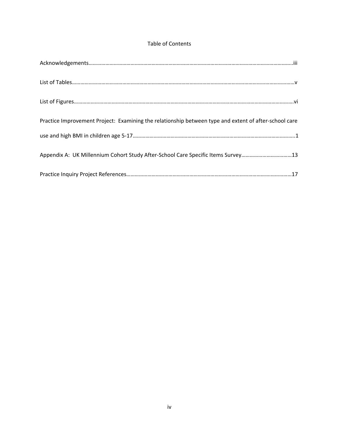# Table of Contents

| Practice Improvement Project: Examining the relationship between type and extent of after-school care |
|-------------------------------------------------------------------------------------------------------|
|                                                                                                       |
| Appendix A: UK Millennium Cohort Study After-School Care Specific Items Survey13                      |
|                                                                                                       |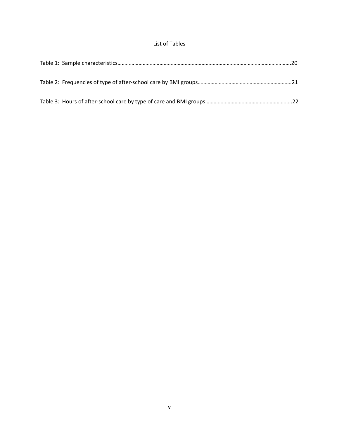# List of Tables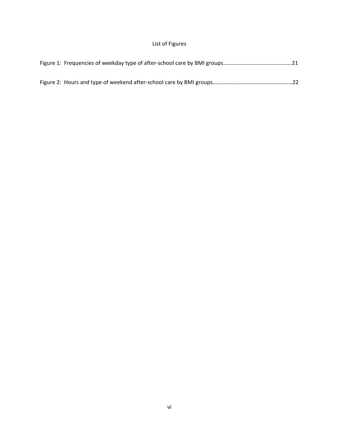# List of Figures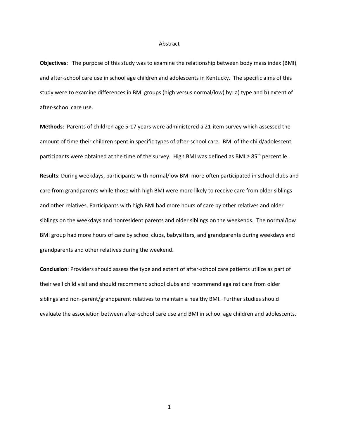#### Abstract

**Objectives**: The purpose of this study was to examine the relationship between body mass index (BMI) and after-school care use in school age children and adolescents in Kentucky. The specific aims of this study were to examine differences in BMI groups (high versus normal/low) by: a) type and b) extent of after‐school care use.

**Methods**: Parents of children age 5‐17 years were administered a 21‐item survey which assessed the amount of time their children spent in specific types of after-school care. BMI of the child/adolescent participants were obtained at the time of the survey. High BMI was defined as BMI ≥ 85<sup>th</sup> percentile.

**Results**: During weekdays, participants with normal/low BMI more often participated in school clubs and care from grandparents while those with high BMI were more likely to receive care from older siblings and other relatives. Participants with high BMI had more hours of care by other relatives and older siblings on the weekdays and nonresident parents and older siblings on the weekends. The normal/low BMI group had more hours of care by school clubs, babysitters, and grandparents during weekdays and grandparents and other relatives during the weekend.

**Conclusion**: Providers should assess the type and extent of after‐school care patients utilize as part of their well child visit and should recommend school clubs and recommend against care from older siblings and non-parent/grandparent relatives to maintain a healthy BMI. Further studies should evaluate the association between after‐school care use and BMI in school age children and adolescents.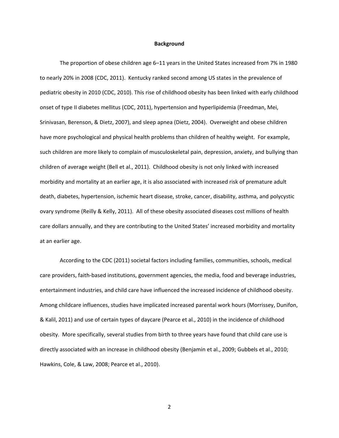#### **Background**

The proportion of obese children age 6–11 years in the United States increased from 7% in 1980 to nearly 20% in 2008 (CDC, 2011). Kentucky ranked second among US states in the prevalence of pediatric obesity in 2010 (CDC, 2010). This rise of childhood obesity has been linked with early childhood onset of type II diabetes mellitus (CDC, 2011), hypertension and hyperlipidemia (Freedman, Mei, Srinivasan, Berenson, & Dietz, 2007), and sleep apnea (Dietz, 2004). Overweight and obese children have more psychological and physical health problems than children of healthy weight. For example, such children are more likely to complain of musculoskeletal pain, depression, anxiety, and bullying than children of average weight (Bell et al., 2011). Childhood obesity is not only linked with increased morbidity and mortality at an earlier age, it is also associated with increased risk of premature adult death, diabetes, hypertension, ischemic heart disease, stroke, cancer, disability, asthma, and polycystic ovary syndrome (Reilly & Kelly, 2011). All of these obesity associated diseases cost millions of health care dollars annually, and they are contributing to the United States' increased morbidity and mortality at an earlier age.

According to the CDC (2011) societal factors including families, communities, schools, medical care providers, faith‐based institutions, government agencies, the media, food and beverage industries, entertainment industries, and child care have influenced the increased incidence of childhood obesity. Among childcare influences, studies have implicated increased parental work hours (Morrissey, Dunifon, & Kalil, 2011) and use of certain types of daycare (Pearce et al., 2010) in the incidence of childhood obesity. More specifically, several studies from birth to three years have found that child care use is directly associated with an increase in childhood obesity (Benjamin et al., 2009; Gubbels et al., 2010; Hawkins, Cole, & Law, 2008; Pearce et al., 2010).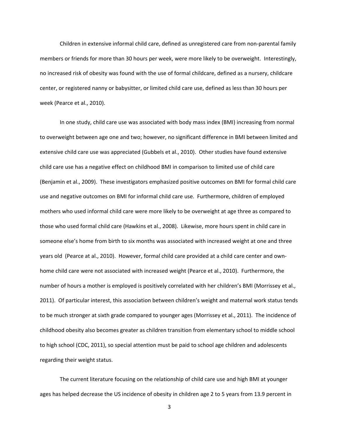Children in extensive informal child care, defined as unregistered care from non‐parental family members or friends for more than 30 hours per week, were more likely to be overweight. Interestingly, no increased risk of obesity was found with the use of formal childcare, defined as a nursery, childcare center, or registered nanny or babysitter, or limited child care use, defined as less than 30 hours per week (Pearce et al., 2010).

In one study, child care use was associated with body mass index (BMI) increasing from normal to overweight between age one and two; however, no significant difference in BMI between limited and extensive child care use was appreciated (Gubbels et al., 2010). Other studies have found extensive child care use has a negative effect on childhood BMI in comparison to limited use of child care (Benjamin et al., 2009). These investigators emphasized positive outcomes on BMI for formal child care use and negative outcomes on BMI for informal child care use. Furthermore, children of employed mothers who used informal child care were more likely to be overweight at age three as compared to those who used formal child care (Hawkins et al., 2008). Likewise, more hours spent in child care in someone else's home from birth to six months was associated with increased weight at one and three years old (Pearce at al., 2010). However, formal child care provided at a child care center and own‐ home child care were not associated with increased weight (Pearce et al., 2010). Furthermore, the number of hours a mother is employed is positively correlated with her children's BMI (Morrissey et al., 2011). Of particular interest, this association between children's weight and maternal work status tends to be much stronger at sixth grade compared to younger ages (Morrissey et al., 2011). The incidence of childhood obesity also becomes greater as children transition from elementary school to middle school to high school (CDC, 2011), so special attention must be paid to school age children and adolescents regarding their weight status.

The current literature focusing on the relationship of child care use and high BMI at younger ages has helped decrease the US incidence of obesity in children age 2 to 5 years from 13.9 percent in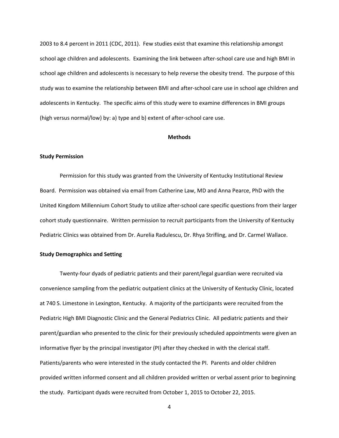2003 to 8.4 percent in 2011 (CDC, 2011). Few studies exist that examine this relationship amongst school age children and adolescents. Examining the link between after-school care use and high BMI in school age children and adolescents is necessary to help reverse the obesity trend. The purpose of this study was to examine the relationship between BMI and after‐school care use in school age children and adolescents in Kentucky. The specific aims of this study were to examine differences in BMI groups (high versus normal/low) by: a) type and b) extent of after‐school care use.

# **Methods**

# **Study Permission**

Permission for this study was granted from the University of Kentucky Institutional Review Board. Permission was obtained via email from Catherine Law, MD and Anna Pearce, PhD with the United Kingdom Millennium Cohort Study to utilize after‐school care specific questions from their larger cohort study questionnaire. Written permission to recruit participants from the University of Kentucky Pediatric Clinics was obtained from Dr. Aurelia Radulescu, Dr. Rhya Strifling, and Dr. Carmel Wallace.

# **Study Demographics and Setting**

Twenty‐four dyads of pediatric patients and their parent/legal guardian were recruited via convenience sampling from the pediatric outpatient clinics at the University of Kentucky Clinic, located at 740 S. Limestone in Lexington, Kentucky. A majority of the participants were recruited from the Pediatric High BMI Diagnostic Clinic and the General Pediatrics Clinic. All pediatric patients and their parent/guardian who presented to the clinic for their previously scheduled appointments were given an informative flyer by the principal investigator (PI) after they checked in with the clerical staff. Patients/parents who were interested in the study contacted the PI. Parents and older children provided written informed consent and all children provided written or verbal assent prior to beginning the study. Participant dyads were recruited from October 1, 2015 to October 22, 2015.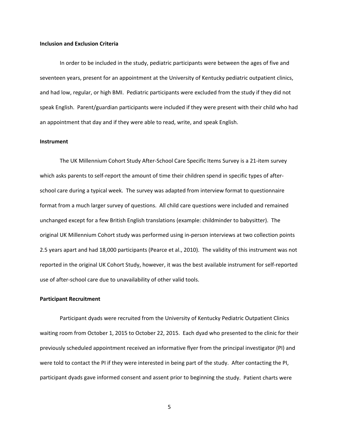# **Inclusion and Exclusion Criteria**

In order to be included in the study, pediatric participants were between the ages of five and seventeen years, present for an appointment at the University of Kentucky pediatric outpatient clinics, and had low, regular, or high BMI. Pediatric participants were excluded from the study if they did not speak English. Parent/guardian participants were included if they were present with their child who had an appointment that day and if they were able to read, write, and speak English.

#### **Instrument**

The UK Millennium Cohort Study After‐School Care Specific Items Survey is a 21‐item survey which asks parents to self-report the amount of time their children spend in specific types of afterschool care during a typical week. The survey was adapted from interview format to questionnaire format from a much larger survey of questions. All child care questions were included and remained unchanged except for a few British English translations (example: childminder to babysitter). The original UK Millennium Cohort study was performed using in‐person interviews at two collection points 2.5 years apart and had 18,000 participants (Pearce et al., 2010). The validity of this instrument was not reported in the original UK Cohort Study, however, it was the best available instrument for self‐reported use of after‐school care due to unavailability of other valid tools.

#### **Participant Recruitment**

Participant dyads were recruited from the University of Kentucky Pediatric Outpatient Clinics waiting room from October 1, 2015 to October 22, 2015. Each dyad who presented to the clinic for their previously scheduled appointment received an informative flyer from the principal investigator (PI) and were told to contact the PI if they were interested in being part of the study. After contacting the PI, participant dyads gave informed consent and assent prior to beginning the study. Patient charts were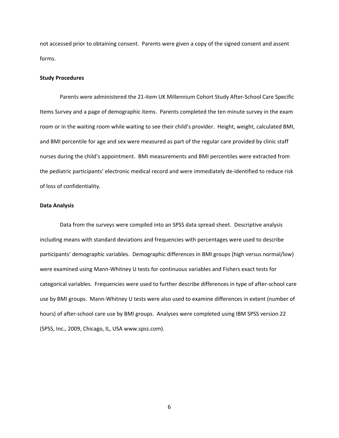not accessed prior to obtaining consent. Parents were given a copy of the signed consent and assent forms.

# **Study Procedures**

Parents were administered the 21‐item UK Millennium Cohort Study After‐School Care Specific Items Survey and a page of demographic items. Parents completed the ten minute survey in the exam room or in the waiting room while waiting to see their child's provider. Height, weight, calculated BMI, and BMI percentile for age and sex were measured as part of the regular care provided by clinic staff nurses during the child's appointment. BMI measurements and BMI percentiles were extracted from the pediatric participants' electronic medical record and were immediately de‐identified to reduce risk of loss of confidentiality.

### **Data Analysis**

Data from the surveys were compiled into an SPSS data spread sheet. Descriptive analysis including means with standard deviations and frequencies with percentages were used to describe participants' demographic variables. Demographic differences in BMI groups (high versus normal/low) were examined using Mann‐Whitney U tests for continuous variables and Fishers exact tests for categorical variables. Frequencies were used to further describe differences in type of after‐school care use by BMI groups. Mann‐Whitney U tests were also used to examine differences in extent (number of hours) of after-school care use by BMI groups. Analyses were completed using IBM SPSS version 22 (SPSS, Inc., 2009, Chicago, IL, USA www.spss.com).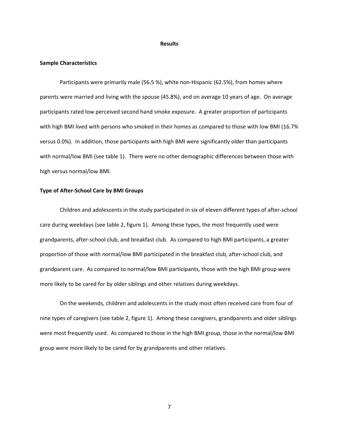#### **Results**

#### **Sample Characteristics**

Participants were primarily male (56.5 %), white non‐Hispanic (62.5%), from homes where parents were married and living with the spouse (45.8%), and on average 10 years of age. On average participants rated low perceived second hand smoke exposure. A greater proportion of participants with high BMI lived with persons who smoked in their homes as compared to those with low BMI (16.7% versus 0.0%). In addition, those participants with high BMI were significantly older than participants with normal/low BMI (see table 1). There were no other demographic differences between those with high versus normal/low BMI.

#### **Type of After‐School Care by BMI Groups**

Children and adolescents in the study participated in six of eleven different types of after‐school care during weekdays (see table 2, figure 1). Among these types, the most frequently used were grandparents, after‐school club, and breakfast club. As compared to high BMI participants, a greater proportion of those with normal/low BMI participated in the breakfast club, after‐school club, and grandparent care. As compared to normal/low BMI participants, those with the high BMI group were more likely to be cared for by older siblings and other relatives during weekdays.

On the weekends, children and adolescents in the study most often received care from four of nine types of caregivers (see table 2, figure 1). Among these caregivers, grandparents and older siblings were most frequently used. As compared to those in the high BMI group, those in the normal/low BMI group were more likely to be cared for by grandparents and other relatives.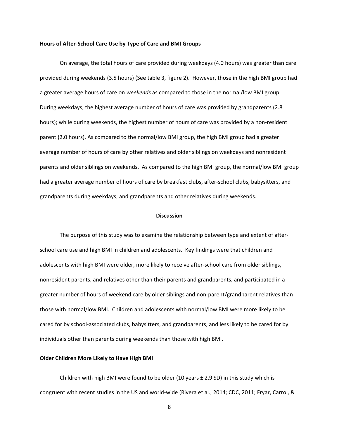#### **Hours of After‐School Care Use by Type of Care and BMI Groups**

On average, the total hours of care provided during weekdays (4.0 hours) was greater than care provided during weekends (3.5 hours) (See table 3, figure 2). However, those in the high BMI group had a greater average hours of care on *weekends* as compared to those in the normal/low BMI group. During weekdays, the highest average number of hours of care was provided by grandparents (2.8 hours); while during weekends, the highest number of hours of care was provided by a non-resident parent (2.0 hours). As compared to the normal/low BMI group, the high BMI group had a greater average number of hours of care by other relatives and older siblings on weekdays and nonresident parents and older siblings on weekends. As compared to the high BMI group, the normal/low BMI group had a greater average number of hours of care by breakfast clubs, after-school clubs, babysitters, and grandparents during weekdays; and grandparents and other relatives during weekends.

# **Discussion**

The purpose of this study was to examine the relationship between type and extent of after‐ school care use and high BMI in children and adolescents. Key findings were that children and adolescents with high BMI were older, more likely to receive after-school care from older siblings, nonresident parents, and relatives other than their parents and grandparents, and participated in a greater number of hours of weekend care by older siblings and non-parent/grandparent relatives than those with normal/low BMI. Children and adolescents with normal/low BMI were more likely to be cared for by school‐associated clubs, babysitters, and grandparents, and less likely to be cared for by individuals other than parents during weekends than those with high BMI.

# **Older Children More Likely to Have High BMI**

Children with high BMI were found to be older (10 years  $\pm$  2.9 SD) in this study which is congruent with recent studies in the US and world‐wide (Rivera et al., 2014; CDC, 2011; Fryar, Carrol, &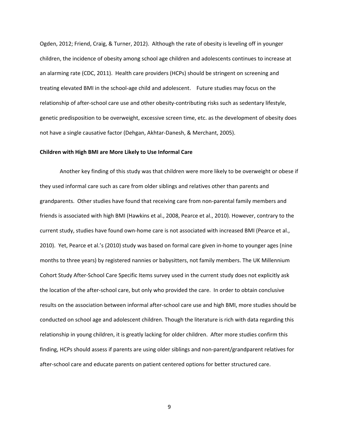Ogden, 2012; Friend, Craig, & Turner, 2012). Although the rate of obesity is leveling off in younger children, the incidence of obesity among school age children and adolescents continues to increase at an alarming rate (CDC, 2011). Health care providers (HCPs) should be stringent on screening and treating elevated BMI in the school‐age child and adolescent. Future studies may focus on the relationship of after‐school care use and other obesity‐contributing risks such as sedentary lifestyle, genetic predisposition to be overweight, excessive screen time, etc. as the development of obesity does not have a single causative factor (Dehgan, Akhtar‐Danesh, & Merchant, 2005).

### **Children with High BMI are More Likely to Use Informal Care**

Another key finding of this study was that children were more likely to be overweight or obese if they used informal care such as care from older siblings and relatives other than parents and grandparents. Other studies have found that receiving care from non-parental family members and friends is associated with high BMI (Hawkins et al., 2008, Pearce et al., 2010). However, contrary to the current study, studies have found own‐home care is not associated with increased BMI (Pearce et al., 2010). Yet, Pearce et al.'s (2010) study was based on formal care given in‐home to younger ages (nine months to three years) by registered nannies or babysitters, not family members. The UK Millennium Cohort Study After‐School Care Specific Items survey used in the current study does not explicitly ask the location of the after‐school care, but only who provided the care. In order to obtain conclusive results on the association between informal after‐school care use and high BMI, more studies should be conducted on school age and adolescent children. Though the literature is rich with data regarding this relationship in young children, it is greatly lacking for older children. After more studies confirm this finding, HCPs should assess if parents are using older siblings and non‐parent/grandparent relatives for after-school care and educate parents on patient centered options for better structured care.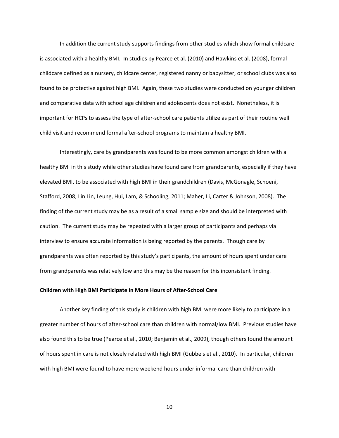In addition the current study supports findings from other studies which show formal childcare is associated with a healthy BMI. In studies by Pearce et al. (2010) and Hawkins et al. (2008), formal childcare defined as a nursery, childcare center, registered nanny or babysitter, or school clubs was also found to be protective against high BMI. Again, these two studies were conducted on younger children and comparative data with school age children and adolescents does not exist. Nonetheless, it is important for HCPs to assess the type of after-school care patients utilize as part of their routine well child visit and recommend formal after‐school programs to maintain a healthy BMI.

Interestingly, care by grandparents was found to be more common amongst children with a healthy BMI in this study while other studies have found care from grandparents, especially if they have elevated BMI, to be associated with high BMI in their grandchildren (Davis, McGonagle, Schoeni, Stafford, 2008; Lin Lin, Leung, Hui, Lam, & Schooling, 2011; Maher, Li, Carter & Johnson, 2008). The finding of the current study may be as a result of a small sample size and should be interpreted with caution. The current study may be repeated with a larger group of participants and perhaps via interview to ensure accurate information is being reported by the parents. Though care by grandparents was often reported by this study's participants, the amount of hours spent under care from grandparents was relatively low and this may be the reason for this inconsistent finding.

#### **Children with High BMI Participate in More Hours of After‐School Care**

Another key finding of this study is children with high BMI were more likely to participate in a greater number of hours of after‐school care than children with normal/low BMI. Previous studies have also found this to be true (Pearce et al., 2010; Benjamin et al., 2009), though others found the amount of hours spent in care is not closely related with high BMI (Gubbels et al., 2010). In particular, children with high BMI were found to have more weekend hours under informal care than children with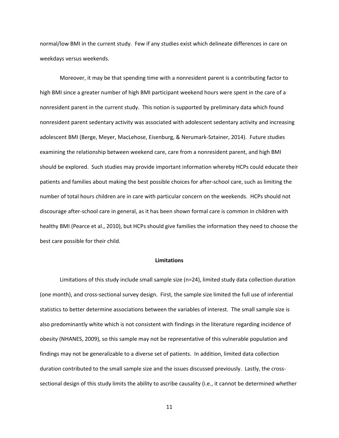normal/low BMI in the current study. Few if any studies exist which delineate differences in care on weekdays versus weekends.

Moreover, it may be that spending time with a nonresident parent is a contributing factor to high BMI since a greater number of high BMI participant weekend hours were spent in the care of a nonresident parent in the current study. This notion is supported by preliminary data which found nonresident parent sedentary activity was associated with adolescent sedentary activity and increasing adolescent BMI (Berge, Meyer, MacLehose, Eisenburg, & Nerumark‐Sztainer, 2014). Future studies examining the relationship between weekend care, care from a nonresident parent, and high BMI should be explored. Such studies may provide important information whereby HCPs could educate their patients and families about making the best possible choices for after‐school care, such as limiting the number of total hours children are in care with particular concern on the weekends. HCPs should not discourage after‐school care in general, as it has been shown formal care is common in children with healthy BMI (Pearce et al., 2010), but HCPs should give families the information they need to choose the best care possible for their child.

### **Limitations**

Limitations of this study include small sample size (n=24), limited study data collection duration (one month), and cross‐sectional survey design. First, the sample size limited the full use of inferential statistics to better determine associations between the variables of interest. The small sample size is also predominantly white which is not consistent with findings in the literature regarding incidence of obesity (NHANES, 2009), so this sample may not be representative of this vulnerable population and findings may not be generalizable to a diverse set of patients. In addition, limited data collection duration contributed to the small sample size and the issues discussed previously. Lastly, the cross‐ sectional design of this study limits the ability to ascribe causality (i.e., it cannot be determined whether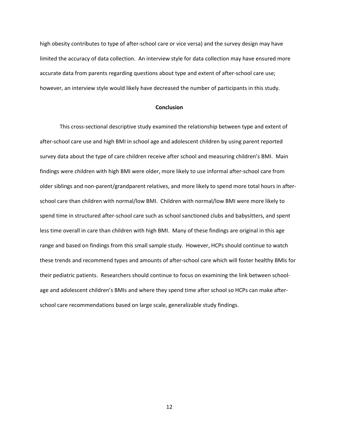high obesity contributes to type of after‐school care or vice versa) and the survey design may have limited the accuracy of data collection. An interview style for data collection may have ensured more accurate data from parents regarding questions about type and extent of after‐school care use; however, an interview style would likely have decreased the number of participants in this study.

# **Conclusion**

This cross‐sectional descriptive study examined the relationship between type and extent of after‐school care use and high BMI in school age and adolescent children by using parent reported survey data about the type of care children receive after school and measuring children's BMI. Main findings were children with high BMI were older, more likely to use informal after‐school care from older siblings and non‐parent/grandparent relatives, and more likely to spend more total hours in after‐ school care than children with normal/low BMI. Children with normal/low BMI were more likely to spend time in structured after‐school care such as school sanctioned clubs and babysitters, and spent less time overall in care than children with high BMI. Many of these findings are original in this age range and based on findings from this small sample study. However, HCPs should continue to watch these trends and recommend types and amounts of after‐school care which will foster healthy BMIs for their pediatric patients. Researchers should continue to focus on examining the link between schoolage and adolescent children's BMIs and where they spend time after school so HCPs can make after‐ school care recommendations based on large scale, generalizable study findings.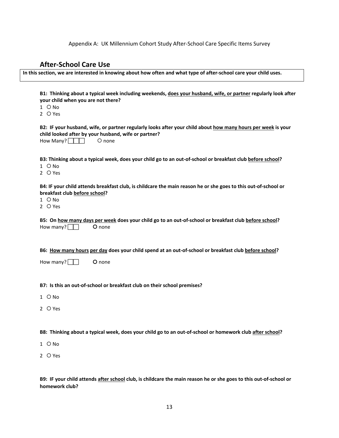Appendix A: UK Millennium Cohort Study After‐School Care Specific Items Survey

# **After‐School Care Use**

B1: Thinking about a typical week including weekends, does your husband, wife, or partner regularly look after **your child when you are not there?**

- $1$   $\circ$  No
- 2 O Yes

B2: IF your husband, wife, or partner regularly looks after your child about how many hours per week is your **child looked after by your husband, wife or partner?** How Many? none

B3: Thinking about a typical week, does your child go to an out-of-school or breakfast club before school?

- $1$   $\circ$  No
- 2 O Yes

B4: IF your child attends breakfast club, is childcare the main reason he or she goes to this out-of-school or **breakfast club before school?**

- $1$   $\circ$  No
- $2$   $\bigcap$  Yes

|                         | B5: On how many days per week does your child go to an out-of-school or breakfast club before school? |  |  |
|-------------------------|-------------------------------------------------------------------------------------------------------|--|--|
| How many? $\Box$ O none |                                                                                                       |  |  |

B6: How many hours per day does your child spend at an out-of-school or breakfast club before school?

How many?  $\Box$  O none

**B7: Is this an out‐of‐school or breakfast club on their school premises?**

- $1$   $\circ$  No
- $2$   $O$  Yes

B8: Thinking about a typical week, does your child go to an out-of-school or homework club after school?

- $1$   $O$  No
- 2 O Yes

B9: IF your child attends after school club, is childcare the main reason he or she goes to this out-of-school or **homework club?**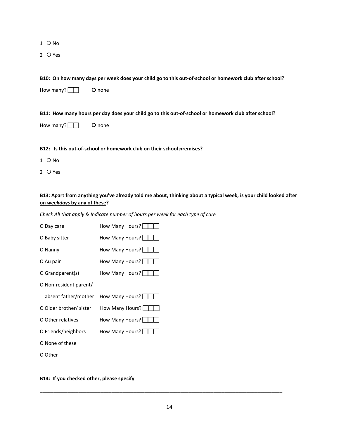- $1$   $\circ$  No
- 2 O Yes

# B10: On how many days per week does your child go to this out-of-school or homework club after school?

How many?  $\Box$  O none

B11: How many hours per day does your child go to this out-of-school or homework club after school?

How many?  $\Box$  O none

# **B12: Is this out‐of‐school or homework club on their school premises?**

- $1$   $\bigcirc$  No
- 2 O Yes

# B13: Apart from anything you've already told me about, thinking about a typical week, is your child looked after **on** *weekdays* **by any of these?**

*Check All that apply & Indicate number of hours per week for each type of care*

| O Day care              | How Many Hours? |
|-------------------------|-----------------|
| O Baby sitter           | How Many Hours? |
| O Nanny                 | How Many Hours? |
| O Au pair               | How Many Hours? |
| O Grandparent(s)        | How Many Hours? |
| O Non-resident parent/  |                 |
|                         |                 |
| absent father/mother    | How Many Hours? |
| O Older brother/ sister | How Many Hours? |
| O Other relatives       | How Many Hours? |
| O Friends/neighbors     | How Many Hours? |
| O None of these         |                 |

**B14: If you checked other, please specify**

\_\_\_\_\_\_\_\_\_\_\_\_\_\_\_\_\_\_\_\_\_\_\_\_\_\_\_\_\_\_\_\_\_\_\_\_\_\_\_\_\_\_\_\_\_\_\_\_\_\_\_\_\_\_\_\_\_\_\_\_\_\_\_\_\_\_\_\_\_\_\_\_\_\_\_\_\_\_\_\_\_\_\_\_\_\_\_\_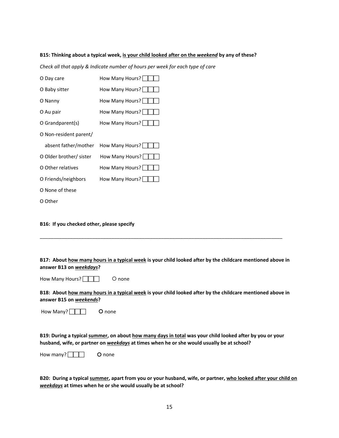# B15: Thinking about a typical week, is your child looked after on the weekend by any of these?

*Check all that apply & Indicate number of hours per week for each type of care*

| O Day care              | How Many Hours? |
|-------------------------|-----------------|
| O Baby sitter           | How Many Hours? |
| O Nanny                 | How Many Hours? |
| O Au pair               | How Many Hours? |
| O Grandparent(s)        | How Many Hours? |
| O Non-resident parent/  |                 |
|                         |                 |
| absent father/mother    | How Many Hours? |
| O Older brother/ sister | How Many Hours? |
| O Other relatives       | How Many Hours? |
| O Friends/neighbors     | How Many Hours? |
| O None of these         |                 |

### **B16: If you checked other, please specify**

B17: About how many hours in a typical week is your child looked after by the childcare mentioned above in **answer B13 on** *weekdays***?**

\_\_\_\_\_\_\_\_\_\_\_\_\_\_\_\_\_\_\_\_\_\_\_\_\_\_\_\_\_\_\_\_\_\_\_\_\_\_\_\_\_\_\_\_\_\_\_\_\_\_\_\_\_\_\_\_\_\_\_\_\_\_\_\_\_\_\_\_\_\_\_\_\_\_\_\_\_\_\_\_\_\_\_\_\_\_\_\_

| How Many Hours? |  | O none |
|-----------------|--|--------|
|-----------------|--|--------|

B18: About how many hours in a typical week is your child looked after by the childcare mentioned above in **answer B15 on** *weekends***?** 

How Many? **THE** O none

B19: During a typical summer, on about how many days in total was your child looked after by you or your **husband, wife, or partner on** *weekdays* **at times when he or she would usually be at school?**

How many? none

B20: During a typical summer, apart from you or your husband, wife, or partner, who looked after your child on *weekdays* **at times when he or she would usually be at school?**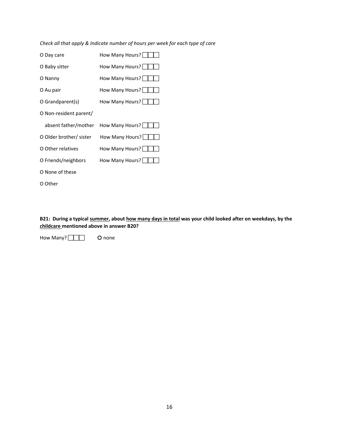*Check all that apply & Indicate number of hours per week for each type of care*

| O Day care              | How Many Hours? |
|-------------------------|-----------------|
| O Baby sitter           | How Many Hours? |
| O Nanny                 | How Many Hours? |
| O Au pair               | How Many Hours? |
| O Grandparent(s)        | How Many Hours? |
| O Non-resident parent/  |                 |
| absent father/mother    | How Many Hours? |
| O Older brother/ sister | How Many Hours? |
| O Other relatives       | How Many Hours? |
| O Friends/neighbors     | How Many Hours? |
| O None of these         |                 |
| O Other                 |                 |

B21: During a typical summer, about how many days in total was your child looked after on weekdays, by the **childcare mentioned above in answer B20?**

How Many? **THE** O none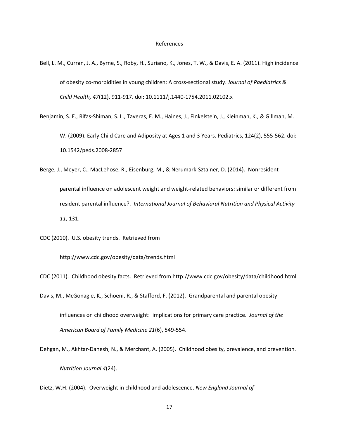- Bell, L. M., Curran, J. A., Byrne, S., Roby, H., Suriano, K., Jones, T. W., & Davis, E. A. (2011). High incidence of obesity co‐morbidities in young children: A cross‐sectional study. *Journal of Paediatrics & Child Health, 47*(12), 911‐917. doi: 10.1111/j.1440‐1754.2011.02102.x
- Benjamin, S. E., Rifas‐Shiman, S. L., Taveras, E. M., Haines, J., Finkelstein, J., Kleinman, K., & Gillman, M. W. (2009). Early Child Care and Adiposity at Ages 1 and 3 Years. Pediatrics, 124(2), 555‐562. doi: 10.1542/peds.2008‐2857
- Berge, J., Meyer, C., MacLehose, R., Eisenburg, M., & Nerumark‐Sztainer, D. (2014). Nonresident parental influence on adolescent weight and weight‐related behaviors: similar or different from resident parental influence?. *International Journal of Behavioral Nutrition and Physical Activity 11,* 131.
- CDC (2010). U.S. obesity trends. Retrieved from

http://www.cdc.gov/obesity/data/trends.html

- CDC (2011). Childhood obesity facts. Retrieved from http://www.cdc.gov/obesity/data/childhood.html
- Davis, M., McGonagle, K., Schoeni, R., & Stafford, F. (2012). Grandparental and parental obesity influences on childhood overweight: implications for primary care practice. *Journal of the American Board of Family Medicine 21*(6), 549‐554.
- Dehgan, M., Akhtar‐Danesh, N., & Merchant, A. (2005). Childhood obesity, prevalence, and prevention. *Nutrition Journal 4*(24).

Dietz, W.H. (2004). Overweight in childhood and adolescence. *New England Journal of*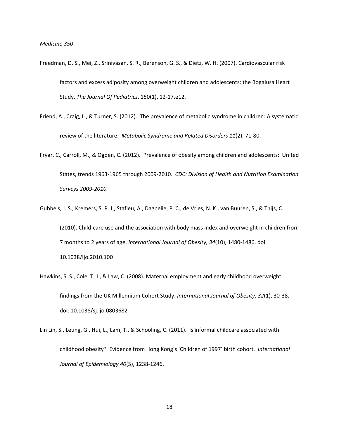- Freedman, D. S., Mei, Z., Srinivasan, S. R., Berenson, G. S., & Dietz, W. H. (2007). Cardiovascular risk factors and excess adiposity among overweight children and adolescents: the Bogalusa Heart Study. *The Journal Of Pediatrics*, 150(1), 12‐17.e12.
- Friend, A., Craig, L., & Turner, S. (2012). The prevalence of metabolic syndrome in children: A systematic review of the literature. *Metabolic Syndrome and Related Disorders 11*(2), 71‐80.
- Fryar, C., Carroll, M., & Ogden, C. (2012). Prevalence of obesity among children and adolescents: United States, trends 1963‐1965 through 2009‐2010. *CDC: Division of Health and Nutrition Examination Surveys 2009‐2010.*
- Gubbels, J. S., Kremers, S. P. J., Stafleu, A., Dagnelie, P. C., de Vries, N. K., van Buuren, S., & Thijs, C. (2010). Child‐care use and the association with body mass index and overweight in children from 7 months to 2 years of age. *International Journal of Obesity, 34*(10), 1480‐1486. doi: 10.1038/ijo.2010.100
- Hawkins, S. S., Cole, T. J., & Law, C. (2008). Maternal employment and early childhood overweight: findings from the UK Millennium Cohort Study. *International Journal of Obesity, 32*(1), 30‐38. doi: 10.1038/sj.ijo.0803682
- Lin Lin, S., Leung, G., Hui, L., Lam, T., & Schooling, C. (2011). Is informal childcare associated with childhood obesity? Evidence from Hong Kong's 'Children of 1997' birth cohort. *International Journal of Epidemiology 40*(5), 1238‐1246.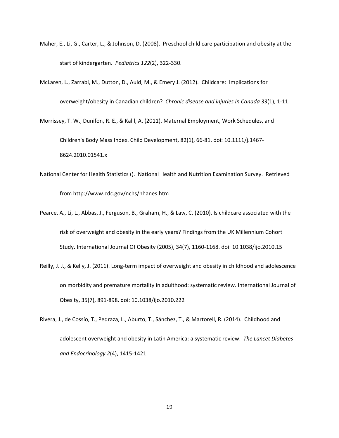- Maher, E., Li, G., Carter, L., & Johnson, D. (2008). Preschool child care participation and obesity at the start of kindergarten. *Pediatrics 122*(2), 322‐330.
- McLaren, L., Zarrabi, M., Dutton, D., Auld, M., & Emery J. (2012). Childcare: Implications for overweight/obesity in Canadian children? *Chronic disease and injuries in Canada 33*(1), 1‐11.

Morrissey, T. W., Dunifon, R. E., & Kalil, A. (2011). Maternal Employment, Work Schedules, and Children's Body Mass Index. Child Development, 82(1), 66‐81. doi: 10.1111/j.1467‐ 8624.2010.01541.x

- National Center for Health Statistics (). National Health and Nutrition Examination Survey. Retrieved from http://www.cdc.gov/nchs/nhanes.htm
- Pearce, A., Li, L., Abbas, J., Ferguson, B., Graham, H., & Law, C. (2010). Is childcare associated with the risk of overweight and obesity in the early years? Findings from the UK Millennium Cohort Study. International Journal Of Obesity (2005), 34(7), 1160‐1168. doi: 10.1038/ijo.2010.15
- Reilly, J. J., & Kelly, J. (2011). Long‐term impact of overweight and obesity in childhood and adolescence on morbidity and premature mortality in adulthood: systematic review. International Journal of Obesity, 35(7), 891‐898. doi: 10.1038/ijo.2010.222
- Rivera, J., de Cossío, T., Pedraza, L., Aburto, T., Sánchez, T., & Martorell, R. (2014). Childhood and adolescent overweight and obesity in Latin America: a systematic review. *The Lancet Diabetes and Endocrinology 2*(4), 1415‐1421.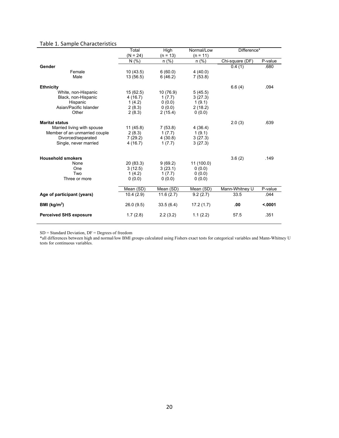# Table 1. Sample Characteristics

|                               | Total      | High       | Normal/Low | Difference*     |         |
|-------------------------------|------------|------------|------------|-----------------|---------|
|                               | $(N = 24)$ | $(n = 13)$ | $(n = 11)$ |                 |         |
|                               | N(% )      | $n$ (%)    | $n$ (%)    | Chi-square (DF) | P-value |
| Gender                        |            |            |            | 0.4(1)          | .680    |
| Female                        | 10(43.5)   | 6(60.0)    | 4(40.0)    |                 |         |
| Male                          | 13(56.5)   | 6(46.2)    | 7(53.8)    |                 |         |
|                               |            |            |            |                 |         |
| <b>Ethnicity</b>              |            |            |            | 6.6(4)          | .094    |
| White, non-Hispanic           | 15(62.5)   | 10 (76.9)  | 5(45.5)    |                 |         |
| Black, non-Hispanic           | 4(16.7)    | 1(7.7)     | 3(27.3)    |                 |         |
| Hispanic                      | 1(4.2)     | 0(0.0)     | 1(9.1)     |                 |         |
| Asian/Pacific Islander        | 2(8.3)     | 0(0.0)     | 2(18.2)    |                 |         |
| Other                         | 2(8.3)     | 2(15.4)    | 0(0.0)     |                 |         |
| <b>Marital status</b>         |            |            |            | 2.0(3)          | .639    |
| Married living with spouse    | 11(45.8)   | 7(53.8)    | 4(36.4)    |                 |         |
| Member of an unmarried couple | 2(8.3)     | 1(7.7)     | 1(9.1)     |                 |         |
| Divorced/separated            | 7(29.2)    | 4(30.8)    | 3(27.3)    |                 |         |
| Single, never married         | 4(16.7)    | 1(7.7)     | 3(27.3)    |                 |         |
|                               |            |            |            |                 |         |
| <b>Household smokers</b>      |            |            |            | 3.6(2)          | .149    |
| None                          | 20(83.3)   | 9(69.2)    | 11(100.0)  |                 |         |
| One                           | 3(12.5)    | 3(23.1)    | 0(0.0)     |                 |         |
| Two                           | 1(4.2)     | 1(7.7)     | 0(0.0)     |                 |         |
| Three or more                 | 0(0.0)     | 0(0.0)     | 0(0.0)     |                 |         |
|                               |            |            |            |                 |         |
|                               | Mean (SD)  | Mean (SD)  | Mean (SD)  | Mann-Whitney U  | P-value |
| Age of participant (years)    | 10.4(2.9)  | 11.6(2.7)  | 9.2(2.7)   | 33.5            | .044    |
| BMI ( $kg/m2$ )               | 26.0(9.5)  | 33.5(6.4)  | 17.2(1.7)  | .00             | < .0001 |
| <b>Perceived SHS exposure</b> | 1.7(2.8)   | 2.2(3.2)   | 1.1(2.2)   | 57.5            | .351    |
|                               |            |            |            |                 |         |

 $SD = Standard Deviation, DF = Degrees of freedom$ 

\*all differences between high and normal/low BMI groups calculated using Fishers exact tests for categorical variables and Mann-Whitney U tests for continuous variables.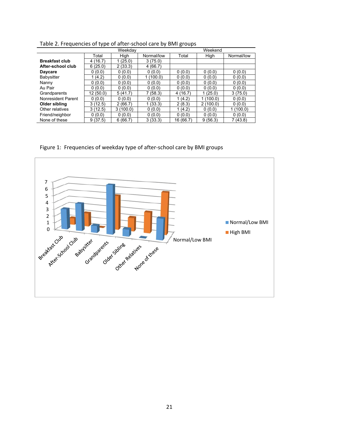|                       | Weekdav     |          |            | Weekend   |          |            |  |
|-----------------------|-------------|----------|------------|-----------|----------|------------|--|
|                       | Total       | High     | Normal/low | Total     | High     | Normal/low |  |
| <b>Breakfast club</b> | (16.7)<br>4 | (25.0)   | 3(75.0)    |           |          |            |  |
| After-school club     | 6(25.0)     | 2(33.3)  | 4(66.7)    |           |          |            |  |
| <b>Daycare</b>        | 0(0.0)      | 0(0.0)   | 0(0.0)     | 0(0.0)    | 0(0.0)   | 0(0.0)     |  |
| Babysitter            | (4.2)       | 0(0.0)   | 1(100.0)   | 0(0.0)    | 0(0.0)   | 0(0.0)     |  |
| Nanny                 | 0(0.0)      | 0(0.0)   | 0(0.0)     | 0(0.0)    | 0(0.0)   | 0(0.0)     |  |
| Au Pair               | 0(0.0)      | 0(0.0)   | 0(0.0)     | 0(0.0)    | 0(0.0)   | 0(0.0)     |  |
| Grandparents          | 12(50.0)    | 5(41.7)  | 7 (58.3)   | 4(16.7)   | 1(25.0)  | 3(75.0)    |  |
| Nonresident Parent    | 0(0.0)      | 0(0.0)   | 0(0.0)     | 1(4.2)    | 1(100.0) | 0(0.0)     |  |
| Older sibling         | 3(12.5)     | 2(66.7)  | 1(33.3)    | 2(8.3)    | 2(100.0) | 0(0.0)     |  |
| Other relatives       | 3(12.5)     | 3(100.0) | 0(0.0)     | 1(4.2)    | 0(0.0)   | 1(100.0)   |  |
| Friend/neighbor       | 0(0.0)      | 0(0.0)   | 0(0.0)     | 0(0.0)    | 0(0.0)   | 0(0.0)     |  |
| None of these         | 9(37.5)     | 6(66.7)  | 3(33.3)    | 16 (66.7) | 9(56.3)  | 7 (43.8)   |  |

Table 2. Frequencies of type of after‐school care by BMI groups

Figure 1: Frequencies of weekday type of after-school care by BMI groups